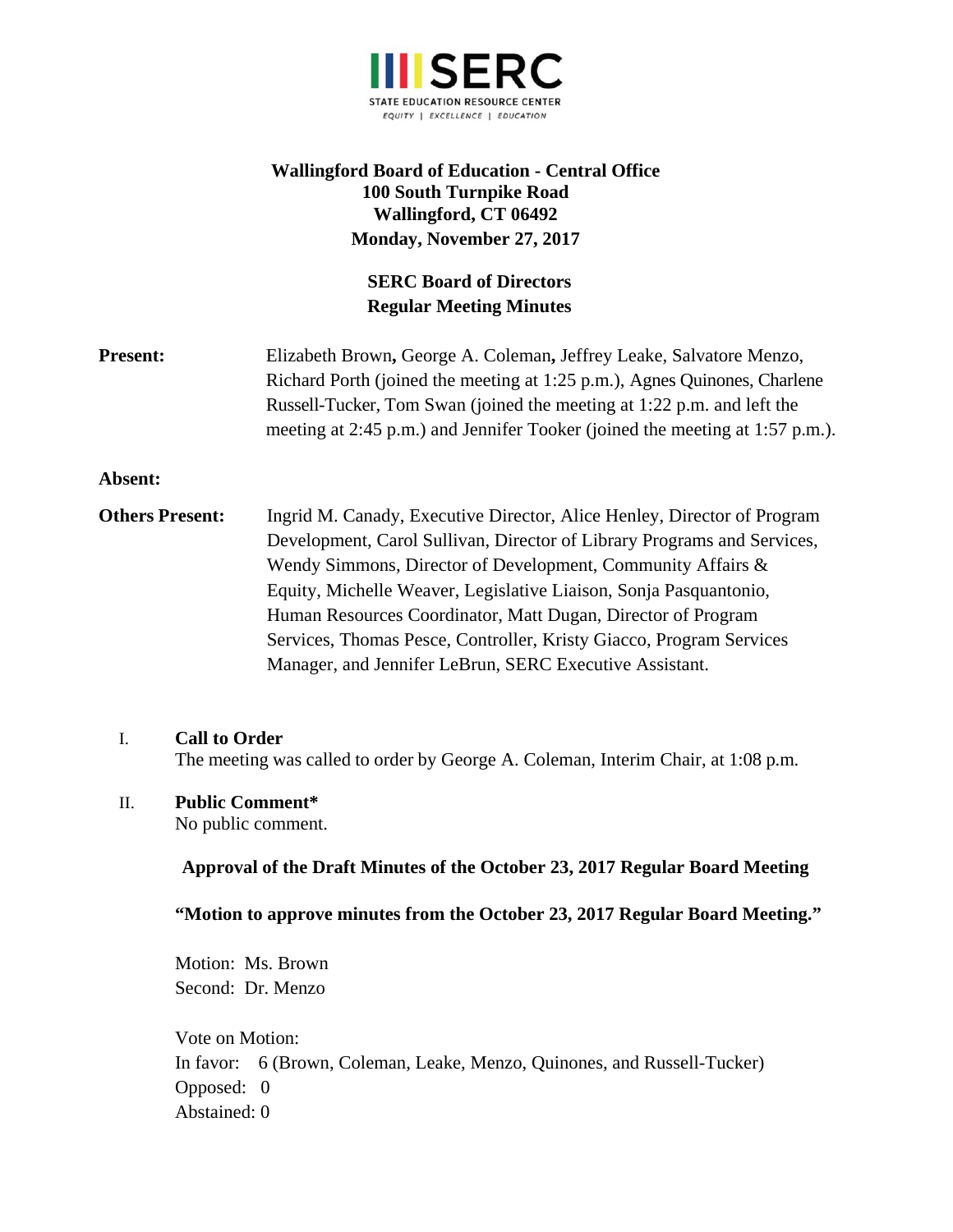

# **Wallingford Board of Education - Central Office 100 South Turnpike Road Wallingford, CT 06492 Monday, November 27, 2017**

# **SERC Board of Directors Regular Meeting Minutes**

**Present:** Elizabeth Brown, George A. Coleman, Jeffrey Leake, Salvatore Menzo, Richard Porth (joined the meeting at 1:25 p.m.), Agnes Quinones, Charlene Russell-Tucker, Tom Swan (joined the meeting at 1:22 p.m. and left the meeting at 2:45 p.m.) and Jennifer Tooker (joined the meeting at 1:57 p.m.).

## **Absent:**

**Others Present:** Ingrid M. Canady, Executive Director, Alice Henley, Director of Program Development, Carol Sullivan, Director of Library Programs and Services, Wendy Simmons, Director of Development, Community Affairs & Equity, Michelle Weaver, Legislative Liaison, Sonja Pasquantonio, Human Resources Coordinator, Matt Dugan, Director of Program Services, Thomas Pesce, Controller, Kristy Giacco, Program Services Manager, and Jennifer LeBrun, SERC Executive Assistant.

#### I. **Call to Order**

The meeting was called to order by George A. Coleman, Interim Chair, at 1:08 p.m.

#### II. **Public Comment\***

No public comment.

#### **Approval of the Draft Minutes of the October 23, 2017 Regular Board Meeting**

**"Motion to approve minutes from the October 23, 2017 Regular Board Meeting."** 

Motion: Ms. Brown Second: Dr. Menzo

 Vote on Motion: In favor: 6 (Brown, Coleman, Leake, Menzo, Quinones, and Russell-Tucker) Opposed: 0 Abstained: 0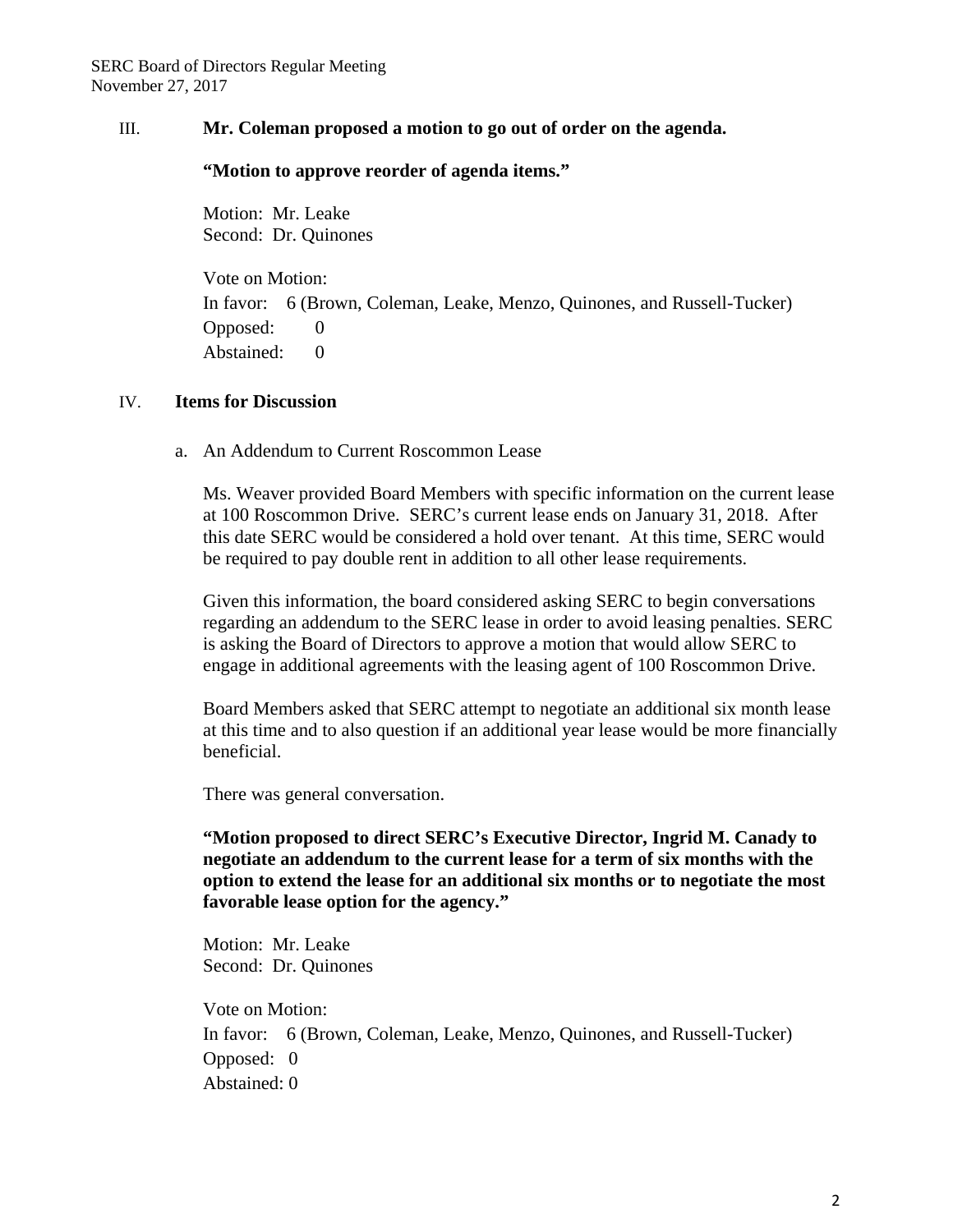## III. **Mr. Coleman proposed a motion to go out of order on the agenda.**

### **"Motion to approve reorder of agenda items."**

Motion: Mr. Leake Second: Dr. Quinones

Vote on Motion: In favor: 6 (Brown, Coleman, Leake, Menzo, Quinones, and Russell-Tucker) Opposed: 0 Abstained: 0

## IV. **Items for Discussion**

a. An Addendum to Current Roscommon Lease

Ms. Weaver provided Board Members with specific information on the current lease at 100 Roscommon Drive. SERC's current lease ends on January 31, 2018. After this date SERC would be considered a hold over tenant. At this time, SERC would be required to pay double rent in addition to all other lease requirements.

Given this information, the board considered asking SERC to begin conversations regarding an addendum to the SERC lease in order to avoid leasing penalties. SERC is asking the Board of Directors to approve a motion that would allow SERC to engage in additional agreements with the leasing agent of 100 Roscommon Drive.

Board Members asked that SERC attempt to negotiate an additional six month lease at this time and to also question if an additional year lease would be more financially beneficial.

There was general conversation.

**"Motion proposed to direct SERC's Executive Director, Ingrid M. Canady to negotiate an addendum to the current lease for a term of six months with the option to extend the lease for an additional six months or to negotiate the most favorable lease option for the agency."** 

Motion: Mr. Leake Second: Dr. Quinones

Vote on Motion: In favor: 6 (Brown, Coleman, Leake, Menzo, Quinones, and Russell-Tucker) Opposed: 0 Abstained: 0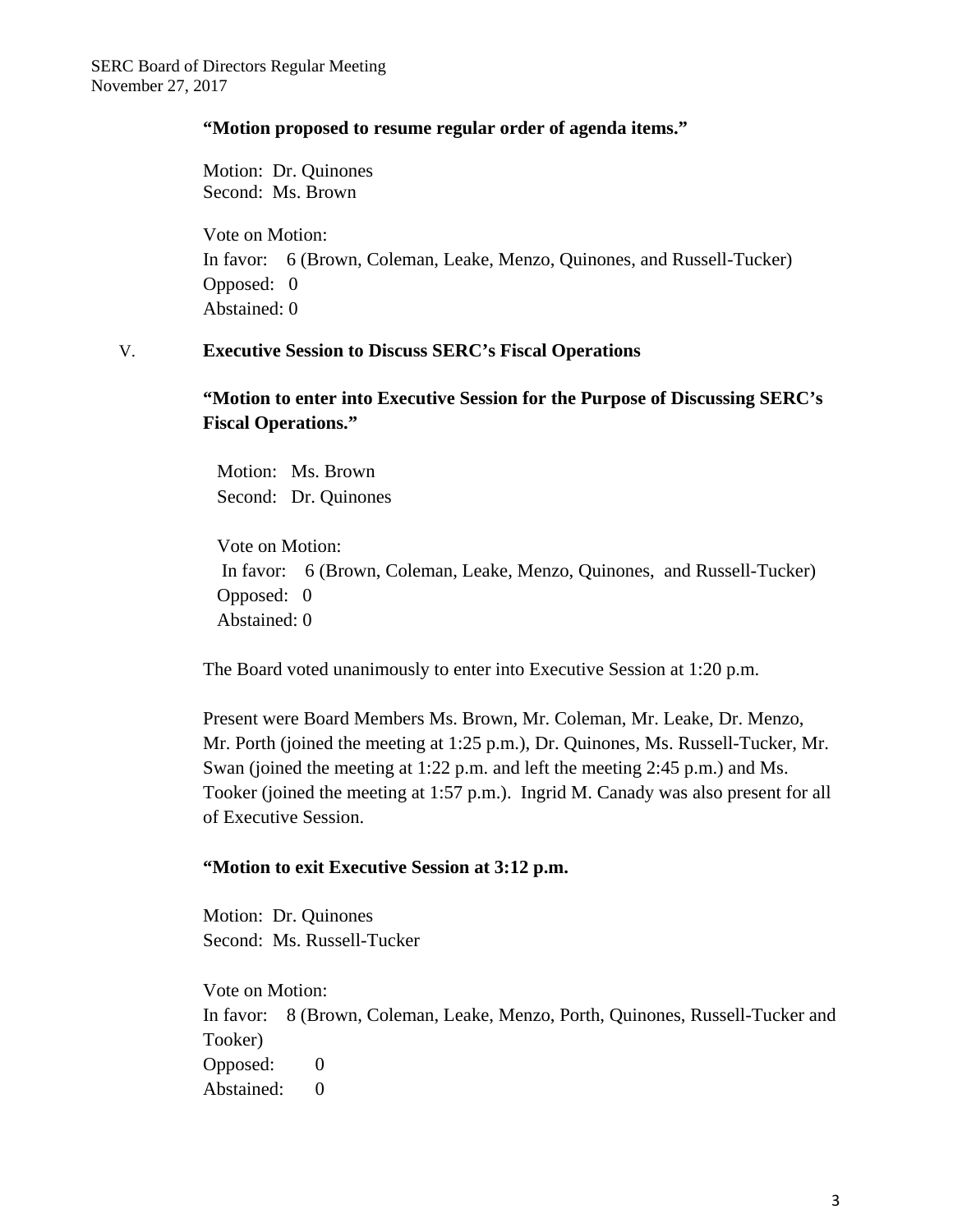## **"Motion proposed to resume regular order of agenda items."**

Motion: Dr. Quinones Second: Ms. Brown

Vote on Motion: In favor: 6 (Brown, Coleman, Leake, Menzo, Quinones, and Russell-Tucker) Opposed: 0 Abstained: 0

## V. **Executive Session to Discuss SERC's Fiscal Operations**

**"Motion to enter into Executive Session for the Purpose of Discussing SERC's Fiscal Operations."** 

 Motion: Ms. Brown Second: Dr. Quinones

 Vote on Motion: In favor: 6 (Brown, Coleman, Leake, Menzo, Quinones, and Russell-Tucker) Opposed: 0 Abstained: 0

The Board voted unanimously to enter into Executive Session at 1:20 p.m.

Present were Board Members Ms. Brown, Mr. Coleman, Mr. Leake, Dr. Menzo, Mr. Porth (joined the meeting at 1:25 p.m.), Dr. Quinones, Ms. Russell-Tucker, Mr. Swan (joined the meeting at 1:22 p.m. and left the meeting 2:45 p.m.) and Ms. Tooker (joined the meeting at 1:57 p.m.). Ingrid M. Canady was also present for all of Executive Session.

## **"Motion to exit Executive Session at 3:12 p.m.**

Motion: Dr. Quinones Second: Ms. Russell-Tucker

Vote on Motion: In favor: 8 (Brown, Coleman, Leake, Menzo, Porth, Quinones, Russell-Tucker and Tooker) Opposed: 0 Abstained: 0